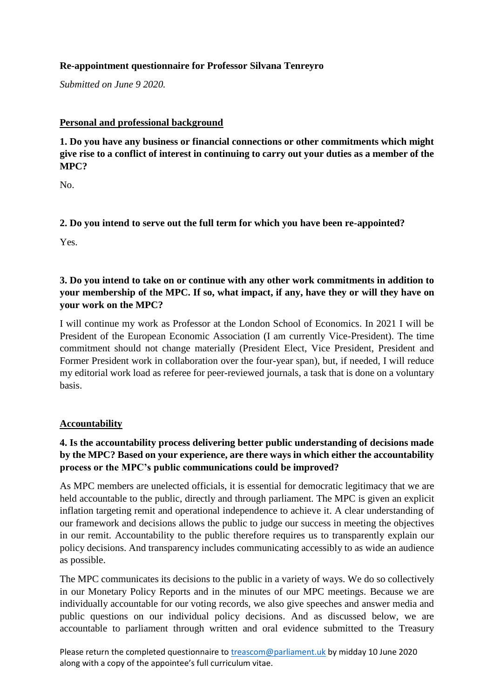## **Re-appointment questionnaire for Professor Silvana Tenreyro**

*Submitted on June 9 2020.*

### **Personal and professional background**

**1. Do you have any business or financial connections or other commitments which might give rise to a conflict of interest in continuing to carry out your duties as a member of the MPC?** 

No.

## **2. Do you intend to serve out the full term for which you have been re-appointed?**

Yes.

# **3. Do you intend to take on or continue with any other work commitments in addition to your membership of the MPC. If so, what impact, if any, have they or will they have on your work on the MPC?**

I will continue my work as Professor at the London School of Economics. In 2021 I will be President of the European Economic Association (I am currently Vice-President). The time commitment should not change materially (President Elect, Vice President, President and Former President work in collaboration over the four-year span), but, if needed, I will reduce my editorial work load as referee for peer-reviewed journals, a task that is done on a voluntary basis.

### **Accountability**

# **4. Is the accountability process delivering better public understanding of decisions made by the MPC? Based on your experience, are there ways in which either the accountability process or the MPC's public communications could be improved?**

As MPC members are unelected officials, it is essential for democratic legitimacy that we are held accountable to the public, directly and through parliament. The MPC is given an explicit inflation targeting remit and operational independence to achieve it. A clear understanding of our framework and decisions allows the public to judge our success in meeting the objectives in our remit. Accountability to the public therefore requires us to transparently explain our policy decisions. And transparency includes communicating accessibly to as wide an audience as possible.

The MPC communicates its decisions to the public in a variety of ways. We do so collectively in our Monetary Policy Reports and in the minutes of our MPC meetings. Because we are individually accountable for our voting records, we also give speeches and answer media and public questions on our individual policy decisions. And as discussed below, we are accountable to parliament through written and oral evidence submitted to the Treasury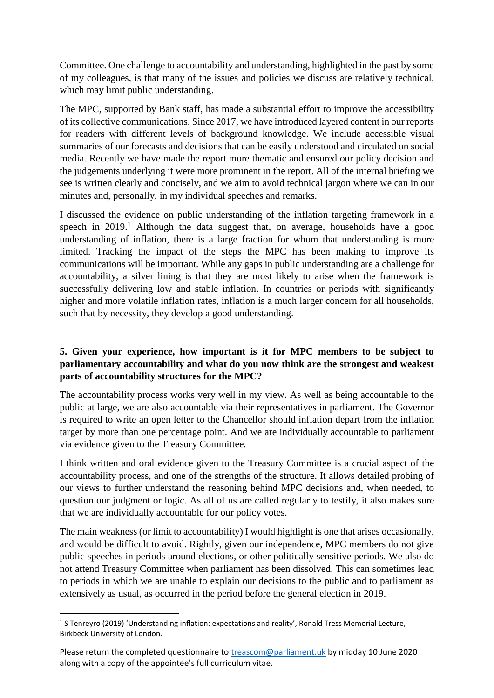Committee. One challenge to accountability and understanding, highlighted in the past by some of my colleagues, is that many of the issues and policies we discuss are relatively technical, which may limit public understanding.

The MPC, supported by Bank staff, has made a substantial effort to improve the accessibility of its collective communications. Since 2017, we have introduced layered content in our reports for readers with different levels of background knowledge. We include accessible visual summaries of our forecasts and decisions that can be easily understood and circulated on social media. Recently we have made the report more thematic and ensured our policy decision and the judgements underlying it were more prominent in the report. All of the internal briefing we see is written clearly and concisely, and we aim to avoid technical jargon where we can in our minutes and, personally, in my individual speeches and remarks.

I discussed the evidence on public understanding of the inflation targeting framework in a speech in  $2019<sup>1</sup>$ . Although the data suggest that, on average, households have a good understanding of inflation, there is a large fraction for whom that understanding is more limited. Tracking the impact of the steps the MPC has been making to improve its communications will be important. While any gaps in public understanding are a challenge for accountability, a silver lining is that they are most likely to arise when the framework is successfully delivering low and stable inflation. In countries or periods with significantly higher and more volatile inflation rates, inflation is a much larger concern for all households, such that by necessity, they develop a good understanding.

## **5. Given your experience, how important is it for MPC members to be subject to parliamentary accountability and what do you now think are the strongest and weakest parts of accountability structures for the MPC?**

The accountability process works very well in my view. As well as being accountable to the public at large, we are also accountable via their representatives in parliament. The Governor is required to write an open letter to the Chancellor should inflation depart from the inflation target by more than one percentage point. And we are individually accountable to parliament via evidence given to the Treasury Committee.

I think written and oral evidence given to the Treasury Committee is a crucial aspect of the accountability process, and one of the strengths of the structure. It allows detailed probing of our views to further understand the reasoning behind MPC decisions and, when needed, to question our judgment or logic. As all of us are called regularly to testify, it also makes sure that we are individually accountable for our policy votes.

The main weakness (or limit to accountability) I would highlight is one that arises occasionally, and would be difficult to avoid. Rightly, given our independence, MPC members do not give public speeches in periods around elections, or other politically sensitive periods. We also do not attend Treasury Committee when parliament has been dissolved. This can sometimes lead to periods in which we are unable to explain our decisions to the public and to parliament as extensively as usual, as occurred in the period before the general election in 2019.

<sup>&</sup>lt;sup>1</sup> S Tenreyro (2019) 'Understanding inflation: expectations and reality', Ronald Tress Memorial Lecture, Birkbeck University of London.

Please return the completed questionnaire to [treascom@parliament.uk](mailto:treascom@parliament.uk) by midday 10 June 2020 along with a copy of the appointee's full curriculum vitae.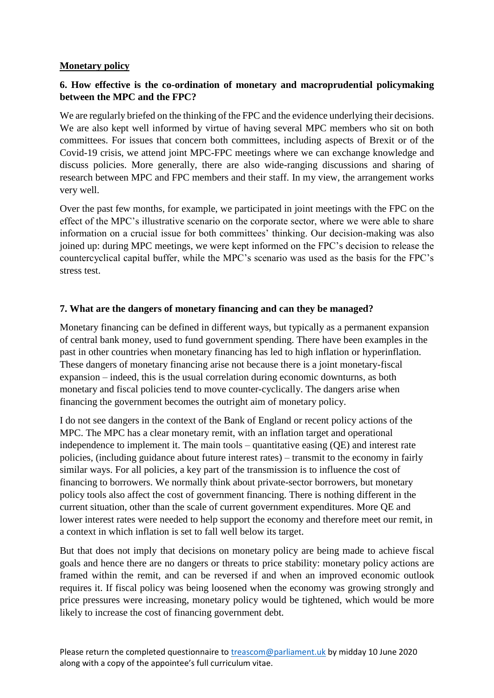### **Monetary policy**

## **6. How effective is the co-ordination of monetary and macroprudential policymaking between the MPC and the FPC?**

We are regularly briefed on the thinking of the FPC and the evidence underlying their decisions. We are also kept well informed by virtue of having several MPC members who sit on both committees. For issues that concern both committees, including aspects of Brexit or of the Covid-19 crisis, we attend joint MPC-FPC meetings where we can exchange knowledge and discuss policies. More generally, there are also wide-ranging discussions and sharing of research between MPC and FPC members and their staff. In my view, the arrangement works very well.

Over the past few months, for example, we participated in joint meetings with the FPC on the effect of the MPC's illustrative scenario on the corporate sector, where we were able to share information on a crucial issue for both committees' thinking. Our decision-making was also joined up: during MPC meetings, we were kept informed on the FPC's decision to release the countercyclical capital buffer, while the MPC's scenario was used as the basis for the FPC's stress test.

### **7. What are the dangers of monetary financing and can they be managed?**

Monetary financing can be defined in different ways, but typically as a permanent expansion of central bank money, used to fund government spending. There have been examples in the past in other countries when monetary financing has led to high inflation or hyperinflation. These dangers of monetary financing arise not because there is a joint monetary-fiscal expansion – indeed, this is the usual correlation during economic downturns, as both monetary and fiscal policies tend to move counter-cyclically. The dangers arise when financing the government becomes the outright aim of monetary policy.

I do not see dangers in the context of the Bank of England or recent policy actions of the MPC. The MPC has a clear monetary remit, with an inflation target and operational independence to implement it. The main tools – quantitative easing (QE) and interest rate policies, (including guidance about future interest rates) – transmit to the economy in fairly similar ways. For all policies, a key part of the transmission is to influence the cost of financing to borrowers. We normally think about private-sector borrowers, but monetary policy tools also affect the cost of government financing. There is nothing different in the current situation, other than the scale of current government expenditures. More QE and lower interest rates were needed to help support the economy and therefore meet our remit, in a context in which inflation is set to fall well below its target.

But that does not imply that decisions on monetary policy are being made to achieve fiscal goals and hence there are no dangers or threats to price stability: monetary policy actions are framed within the remit, and can be reversed if and when an improved economic outlook requires it. If fiscal policy was being loosened when the economy was growing strongly and price pressures were increasing, monetary policy would be tightened, which would be more likely to increase the cost of financing government debt.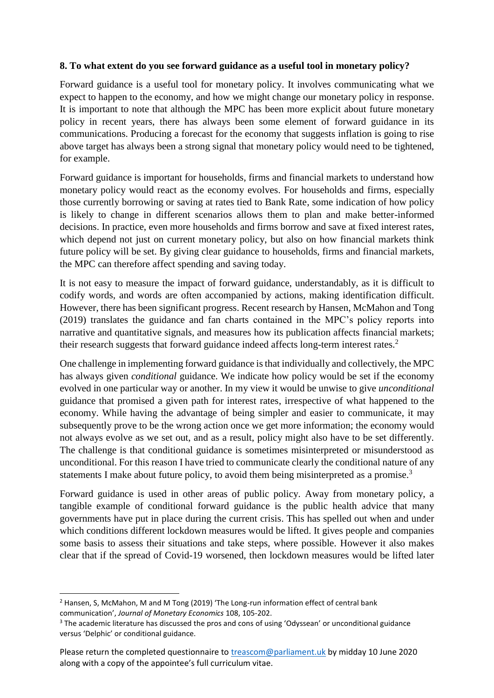### **8. To what extent do you see forward guidance as a useful tool in monetary policy?**

Forward guidance is a useful tool for monetary policy. It involves communicating what we expect to happen to the economy, and how we might change our monetary policy in response. It is important to note that although the MPC has been more explicit about future monetary policy in recent years, there has always been some element of forward guidance in its communications. Producing a forecast for the economy that suggests inflation is going to rise above target has always been a strong signal that monetary policy would need to be tightened, for example.

Forward guidance is important for households, firms and financial markets to understand how monetary policy would react as the economy evolves. For households and firms, especially those currently borrowing or saving at rates tied to Bank Rate, some indication of how policy is likely to change in different scenarios allows them to plan and make better-informed decisions. In practice, even more households and firms borrow and save at fixed interest rates, which depend not just on current monetary policy, but also on how financial markets think future policy will be set. By giving clear guidance to households, firms and financial markets, the MPC can therefore affect spending and saving today.

It is not easy to measure the impact of forward guidance, understandably, as it is difficult to codify words, and words are often accompanied by actions, making identification difficult. However, there has been significant progress. Recent research by Hansen, McMahon and Tong (2019) translates the guidance and fan charts contained in the MPC's policy reports into narrative and quantitative signals, and measures how its publication affects financial markets; their research suggests that forward guidance indeed affects long-term interest rates.<sup>2</sup>

One challenge in implementing forward guidance is that individually and collectively, the MPC has always given *conditional* guidance. We indicate how policy would be set if the economy evolved in one particular way or another. In my view it would be unwise to give *unconditional* guidance that promised a given path for interest rates, irrespective of what happened to the economy. While having the advantage of being simpler and easier to communicate, it may subsequently prove to be the wrong action once we get more information; the economy would not always evolve as we set out, and as a result, policy might also have to be set differently. The challenge is that conditional guidance is sometimes misinterpreted or misunderstood as unconditional. For this reason I have tried to communicate clearly the conditional nature of any statements I make about future policy, to avoid them being misinterpreted as a promise.<sup>3</sup>

Forward guidance is used in other areas of public policy. Away from monetary policy, a tangible example of conditional forward guidance is the public health advice that many governments have put in place during the current crisis. This has spelled out when and under which conditions different lockdown measures would be lifted. It gives people and companies some basis to assess their situations and take steps, where possible. However it also makes clear that if the spread of Covid-19 worsened, then lockdown measures would be lifted later

<sup>&</sup>lt;sup>2</sup> Hansen, S, McMahon, M and M Tong (2019) 'The Long-run information effect of central bank communication', *Journal of Monetary Economics* 108, 105-202.

<sup>&</sup>lt;sup>3</sup> The academic literature has discussed the pros and cons of using 'Odyssean' or unconditional guidance versus 'Delphic' or conditional guidance.

Please return the completed questionnaire to [treascom@parliament.uk](mailto:treascom@parliament.uk) by midday 10 June 2020 along with a copy of the appointee's full curriculum vitae.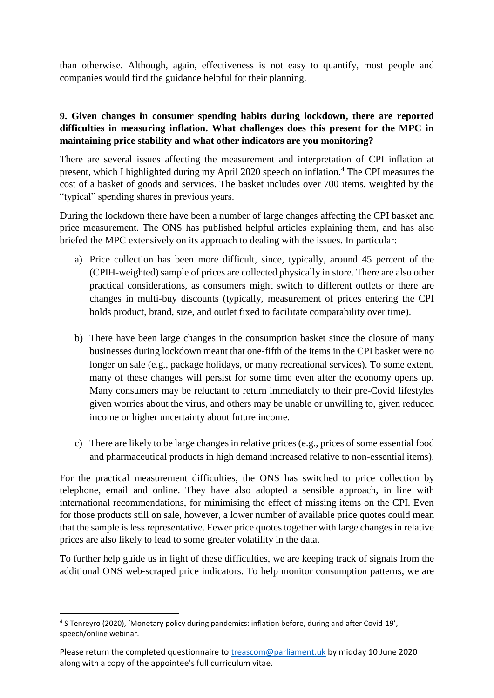than otherwise. Although, again, effectiveness is not easy to quantify, most people and companies would find the guidance helpful for their planning.

# **9. Given changes in consumer spending habits during lockdown, there are reported difficulties in measuring inflation. What challenges does this present for the MPC in maintaining price stability and what other indicators are you monitoring?**

There are several issues affecting the measurement and interpretation of CPI inflation at present, which I highlighted during my April 2020 speech on inflation.<sup>4</sup> The CPI measures the cost of a basket of goods and services. The basket includes over 700 items, weighted by the "typical" spending shares in previous years.

During the lockdown there have been a number of large changes affecting the CPI basket and price measurement. The ONS has published helpful articles explaining them, and has also briefed the MPC extensively on its approach to dealing with the issues. In particular:

- a) Price collection has been more difficult, since, typically, around 45 percent of the (CPIH-weighted) sample of prices are collected physically in store. There are also other practical considerations, as consumers might switch to different outlets or there are changes in multi-buy discounts (typically, measurement of prices entering the CPI holds product, brand, size, and outlet fixed to facilitate comparability over time).
- b) There have been large changes in the consumption basket since the closure of many businesses during lockdown meant that one-fifth of the items in the CPI basket were no longer on sale (e.g., package holidays, or many recreational services). To some extent, many of these changes will persist for some time even after the economy opens up. Many consumers may be reluctant to return immediately to their pre-Covid lifestyles given worries about the virus, and others may be unable or unwilling to, given reduced income or higher uncertainty about future income.
- c) There are likely to be large changes in relative prices (e.g., prices of some essential food and pharmaceutical products in high demand increased relative to non-essential items).

For the practical measurement difficulties, the ONS has switched to price collection by telephone, email and online. They have also adopted a sensible approach, in line with international recommendations, for minimising the effect of missing items on the CPI. Even for those products still on sale, however, a lower number of available price quotes could mean that the sample is less representative. Fewer price quotes together with large changes in relative prices are also likely to lead to some greater volatility in the data.

To further help guide us in light of these difficulties, we are keeping track of signals from the additional ONS web-scraped price indicators. To help monitor consumption patterns, we are

<sup>1</sup> 4 S Tenreyro (2020), 'Monetary policy during pandemics: inflation before, during and after Covid-19', speech/online webinar.

Please return the completed questionnaire to [treascom@parliament.uk](mailto:treascom@parliament.uk) by midday 10 June 2020 along with a copy of the appointee's full curriculum vitae.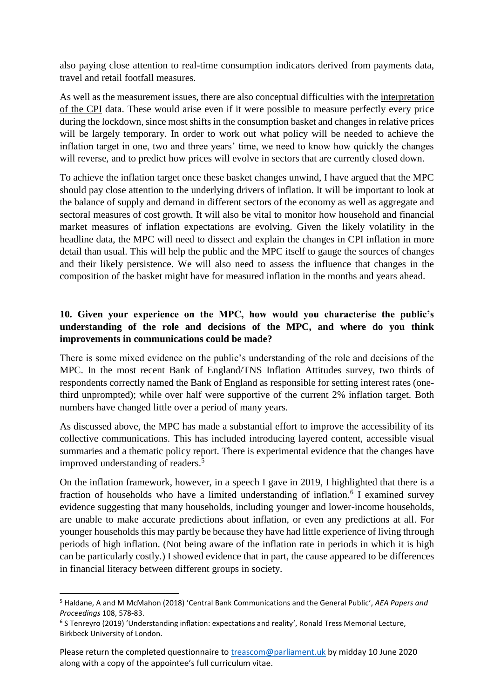also paying close attention to real-time consumption indicators derived from payments data, travel and retail footfall measures.

As well as the measurement issues, there are also conceptual difficulties with the interpretation of the CPI data. These would arise even if it were possible to measure perfectly every price during the lockdown, since most shifts in the consumption basket and changes in relative prices will be largely temporary. In order to work out what policy will be needed to achieve the inflation target in one, two and three years' time, we need to know how quickly the changes will reverse, and to predict how prices will evolve in sectors that are currently closed down.

To achieve the inflation target once these basket changes unwind, I have argued that the MPC should pay close attention to the underlying drivers of inflation. It will be important to look at the balance of supply and demand in different sectors of the economy as well as aggregate and sectoral measures of cost growth. It will also be vital to monitor how household and financial market measures of inflation expectations are evolving. Given the likely volatility in the headline data, the MPC will need to dissect and explain the changes in CPI inflation in more detail than usual. This will help the public and the MPC itself to gauge the sources of changes and their likely persistence. We will also need to assess the influence that changes in the composition of the basket might have for measured inflation in the months and years ahead.

# **10. Given your experience on the MPC, how would you characterise the public's understanding of the role and decisions of the MPC, and where do you think improvements in communications could be made?**

There is some mixed evidence on the public's understanding of the role and decisions of the MPC. In the most recent Bank of England/TNS Inflation Attitudes survey, two thirds of respondents correctly named the Bank of England as responsible for setting interest rates (onethird unprompted); while over half were supportive of the current 2% inflation target. Both numbers have changed little over a period of many years.

As discussed above, the MPC has made a substantial effort to improve the accessibility of its collective communications. This has included introducing layered content, accessible visual summaries and a thematic policy report. There is experimental evidence that the changes have improved understanding of readers.<sup>5</sup>

On the inflation framework, however, in a speech I gave in 2019, I highlighted that there is a fraction of households who have a limited understanding of inflation.<sup>6</sup> I examined survey evidence suggesting that many households, including younger and lower-income households, are unable to make accurate predictions about inflation, or even any predictions at all. For younger households this may partly be because they have had little experience of living through periods of high inflation. (Not being aware of the inflation rate in periods in which it is high can be particularly costly.) I showed evidence that in part, the cause appeared to be differences in financial literacy between different groups in society.

<sup>5</sup> Haldane, A and M McMahon (2018) 'Central Bank Communications and the General Public', *AEA Papers and Proceedings* 108, 578-83.

<sup>6</sup> S Tenreyro (2019) 'Understanding inflation: expectations and reality', Ronald Tress Memorial Lecture, Birkbeck University of London.

Please return the completed questionnaire to [treascom@parliament.uk](mailto:treascom@parliament.uk) by midday 10 June 2020 along with a copy of the appointee's full curriculum vitae.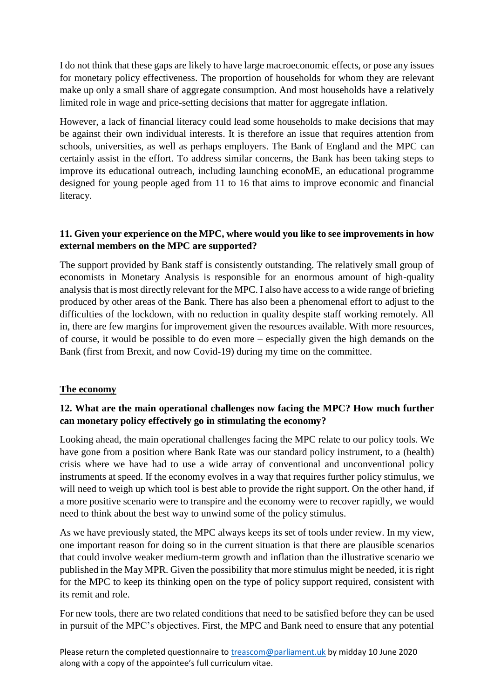I do not think that these gaps are likely to have large macroeconomic effects, or pose any issues for monetary policy effectiveness. The proportion of households for whom they are relevant make up only a small share of aggregate consumption. And most households have a relatively limited role in wage and price-setting decisions that matter for aggregate inflation.

However, a lack of financial literacy could lead some households to make decisions that may be against their own individual interests. It is therefore an issue that requires attention from schools, universities, as well as perhaps employers. The Bank of England and the MPC can certainly assist in the effort. To address similar concerns, the Bank has been taking steps to improve its educational outreach, including launching econoME, an educational programme designed for young people aged from 11 to 16 that aims to improve economic and financial literacy.

## **11. Given your experience on the MPC, where would you like to see improvements in how external members on the MPC are supported?**

The support provided by Bank staff is consistently outstanding. The relatively small group of economists in Monetary Analysis is responsible for an enormous amount of high-quality analysis that is most directly relevant for the MPC. I also have access to a wide range of briefing produced by other areas of the Bank. There has also been a phenomenal effort to adjust to the difficulties of the lockdown, with no reduction in quality despite staff working remotely. All in, there are few margins for improvement given the resources available. With more resources, of course, it would be possible to do even more – especially given the high demands on the Bank (first from Brexit, and now Covid-19) during my time on the committee.

### **The economy**

# **12. What are the main operational challenges now facing the MPC? How much further can monetary policy effectively go in stimulating the economy?**

Looking ahead, the main operational challenges facing the MPC relate to our policy tools. We have gone from a position where Bank Rate was our standard policy instrument, to a (health) crisis where we have had to use a wide array of conventional and unconventional policy instruments at speed. If the economy evolves in a way that requires further policy stimulus, we will need to weigh up which tool is best able to provide the right support. On the other hand, if a more positive scenario were to transpire and the economy were to recover rapidly, we would need to think about the best way to unwind some of the policy stimulus.

As we have previously stated, the MPC always keeps its set of tools under review. In my view, one important reason for doing so in the current situation is that there are plausible scenarios that could involve weaker medium-term growth and inflation than the illustrative scenario we published in the May MPR. Given the possibility that more stimulus might be needed, it is right for the MPC to keep its thinking open on the type of policy support required, consistent with its remit and role.

For new tools, there are two related conditions that need to be satisfied before they can be used in pursuit of the MPC's objectives. First, the MPC and Bank need to ensure that any potential

Please return the completed questionnaire to [treascom@parliament.uk](mailto:treascom@parliament.uk) by midday 10 June 2020 along with a copy of the appointee's full curriculum vitae.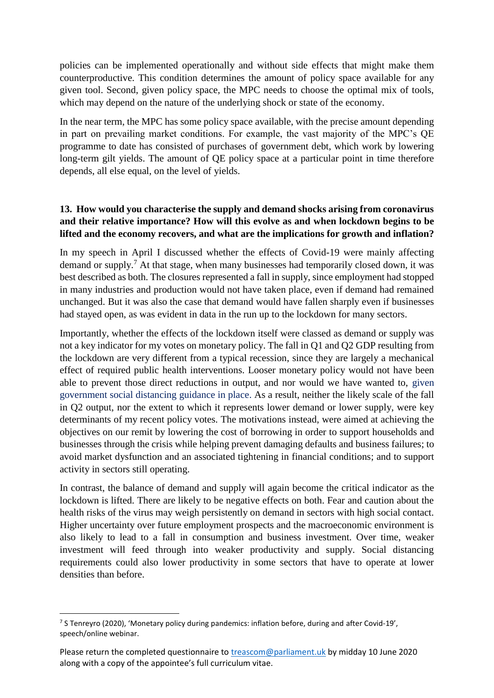policies can be implemented operationally and without side effects that might make them counterproductive. This condition determines the amount of policy space available for any given tool. Second, given policy space, the MPC needs to choose the optimal mix of tools, which may depend on the nature of the underlying shock or state of the economy.

In the near term, the MPC has some policy space available, with the precise amount depending in part on prevailing market conditions. For example, the vast majority of the MPC's QE programme to date has consisted of purchases of government debt, which work by lowering long-term gilt yields. The amount of QE policy space at a particular point in time therefore depends, all else equal, on the level of yields.

## **13. How would you characterise the supply and demand shocks arising from coronavirus and their relative importance? How will this evolve as and when lockdown begins to be lifted and the economy recovers, and what are the implications for growth and inflation?**

In my speech in April I discussed whether the effects of Covid-19 were mainly affecting demand or supply.<sup>7</sup> At that stage, when many businesses had temporarily closed down, it was best described as both. The closures represented a fall in supply, since employment had stopped in many industries and production would not have taken place, even if demand had remained unchanged. But it was also the case that demand would have fallen sharply even if businesses had stayed open, as was evident in data in the run up to the lockdown for many sectors.

Importantly, whether the effects of the lockdown itself were classed as demand or supply was not a key indicator for my votes on monetary policy. The fall in Q1 and Q2 GDP resulting from the lockdown are very different from a typical recession, since they are largely a mechanical effect of required public health interventions. Looser monetary policy would not have been able to prevent those direct reductions in output, and nor would we have wanted to, given government social distancing guidance in place. As a result, neither the likely scale of the fall in Q2 output, nor the extent to which it represents lower demand or lower supply, were key determinants of my recent policy votes. The motivations instead, were aimed at achieving the objectives on our remit by lowering the cost of borrowing in order to support households and businesses through the crisis while helping prevent damaging defaults and business failures; to avoid market dysfunction and an associated tightening in financial conditions; and to support activity in sectors still operating.

In contrast, the balance of demand and supply will again become the critical indicator as the lockdown is lifted. There are likely to be negative effects on both. Fear and caution about the health risks of the virus may weigh persistently on demand in sectors with high social contact. Higher uncertainty over future employment prospects and the macroeconomic environment is also likely to lead to a fall in consumption and business investment. Over time, weaker investment will feed through into weaker productivity and supply. Social distancing requirements could also lower productivity in some sectors that have to operate at lower densities than before.

<sup>1</sup> 7 S Tenreyro (2020), 'Monetary policy during pandemics: inflation before, during and after Covid-19', speech/online webinar.

Please return the completed questionnaire to [treascom@parliament.uk](mailto:treascom@parliament.uk) by midday 10 June 2020 along with a copy of the appointee's full curriculum vitae.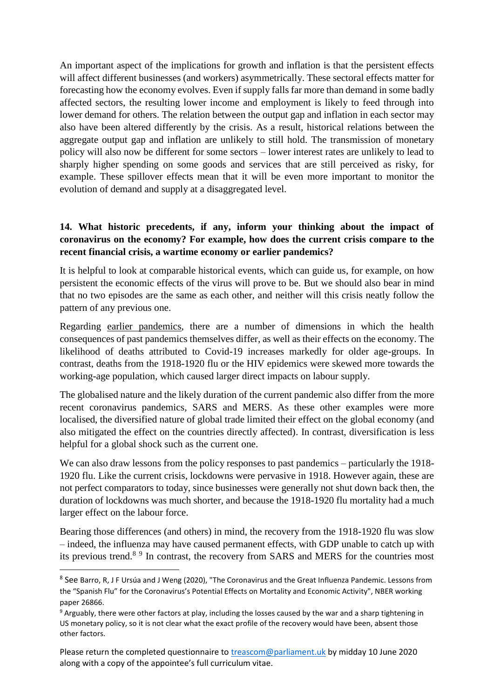An important aspect of the implications for growth and inflation is that the persistent effects will affect different businesses (and workers) asymmetrically. These sectoral effects matter for forecasting how the economy evolves. Even if supply falls far more than demand in some badly affected sectors, the resulting lower income and employment is likely to feed through into lower demand for others. The relation between the output gap and inflation in each sector may also have been altered differently by the crisis. As a result, historical relations between the aggregate output gap and inflation are unlikely to still hold. The transmission of monetary policy will also now be different for some sectors – lower interest rates are unlikely to lead to sharply higher spending on some goods and services that are still perceived as risky, for example. These spillover effects mean that it will be even more important to monitor the evolution of demand and supply at a disaggregated level.

## **14. What historic precedents, if any, inform your thinking about the impact of coronavirus on the economy? For example, how does the current crisis compare to the recent financial crisis, a wartime economy or earlier pandemics?**

It is helpful to look at comparable historical events, which can guide us, for example, on how persistent the economic effects of the virus will prove to be. But we should also bear in mind that no two episodes are the same as each other, and neither will this crisis neatly follow the pattern of any previous one.

Regarding earlier pandemics, there are a number of dimensions in which the health consequences of past pandemics themselves differ, as well as their effects on the economy. The likelihood of deaths attributed to Covid-19 increases markedly for older age-groups. In contrast, deaths from the 1918-1920 flu or the HIV epidemics were skewed more towards the working-age population, which caused larger direct impacts on labour supply.

The globalised nature and the likely duration of the current pandemic also differ from the more recent coronavirus pandemics, SARS and MERS. As these other examples were more localised, the diversified nature of global trade limited their effect on the global economy (and also mitigated the effect on the countries directly affected). In contrast, diversification is less helpful for a global shock such as the current one.

We can also draw lessons from the policy responses to past pandemics – particularly the 1918-1920 flu. Like the current crisis, lockdowns were pervasive in 1918. However again, these are not perfect comparators to today, since businesses were generally not shut down back then, the duration of lockdowns was much shorter, and because the 1918-1920 flu mortality had a much larger effect on the labour force.

Bearing those differences (and others) in mind, the recovery from the 1918-1920 flu was slow – indeed, the influenza may have caused permanent effects, with GDP unable to catch up with its previous trend.<sup>89</sup> In contrast, the recovery from SARS and MERS for the countries most

**.** 

<sup>&</sup>lt;sup>8</sup> See Barro, R, J F Ursúa and J Weng (2020), "The Coronavirus and the Great Influenza Pandemic. Lessons from the "Spanish Flu" for the Coronavirus's Potential Effects on Mortality and Economic Activity", NBER working paper 26866.

<sup>9</sup> Arguably, there were other factors at play, including the losses caused by the war and a sharp tightening in US monetary policy, so it is not clear what the exact profile of the recovery would have been, absent those other factors.

Please return the completed questionnaire to [treascom@parliament.uk](mailto:treascom@parliament.uk) by midday 10 June 2020 along with a copy of the appointee's full curriculum vitae.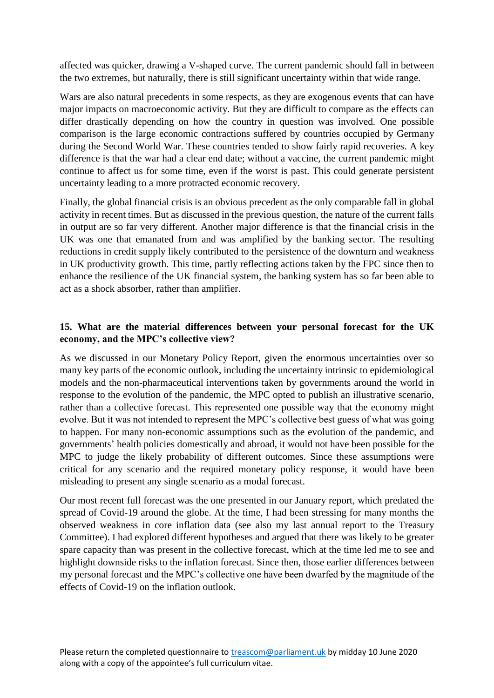affected was quicker, drawing a V-shaped curve. The current pandemic should fall in between the two extremes, but naturally, there is still significant uncertainty within that wide range.

Wars are also natural precedents in some respects, as they are exogenous events that can have major impacts on macroeconomic activity. But they are difficult to compare as the effects can differ drastically depending on how the country in question was involved. One possible comparison is the large economic contractions suffered by countries occupied by Germany during the Second World War. These countries tended to show fairly rapid recoveries. A key difference is that the war had a clear end date; without a vaccine, the current pandemic might continue to affect us for some time, even if the worst is past. This could generate persistent uncertainty leading to a more protracted economic recovery.

Finally, the global financial crisis is an obvious precedent as the only comparable fall in global activity in recent times. But as discussed in the previous question, the nature of the current falls in output are so far very different. Another major difference is that the financial crisis in the UK was one that emanated from and was amplified by the banking sector. The resulting reductions in credit supply likely contributed to the persistence of the downturn and weakness in UK productivity growth. This time, partly reflecting actions taken by the FPC since then to enhance the resilience of the UK financial system, the banking system has so far been able to act as a shock absorber, rather than amplifier.

## **15. What are the material differences between your personal forecast for the UK economy, and the MPC's collective view?**

As we discussed in our Monetary Policy Report, given the enormous uncertainties over so many key parts of the economic outlook, including the uncertainty intrinsic to epidemiological models and the non-pharmaceutical interventions taken by governments around the world in response to the evolution of the pandemic, the MPC opted to publish an illustrative scenario, rather than a collective forecast. This represented one possible way that the economy might evolve. But it was not intended to represent the MPC's collective best guess of what was going to happen. For many non-economic assumptions such as the evolution of the pandemic, and governments' health policies domestically and abroad, it would not have been possible for the MPC to judge the likely probability of different outcomes. Since these assumptions were critical for any scenario and the required monetary policy response, it would have been misleading to present any single scenario as a modal forecast.

Our most recent full forecast was the one presented in our January report, which predated the spread of Covid-19 around the globe. At the time, I had been stressing for many months the observed weakness in core inflation data (see also my last annual report to the Treasury Committee). I had explored different hypotheses and argued that there was likely to be greater spare capacity than was present in the collective forecast, which at the time led me to see and highlight downside risks to the inflation forecast. Since then, those earlier differences between my personal forecast and the MPC's collective one have been dwarfed by the magnitude of the effects of Covid-19 on the inflation outlook.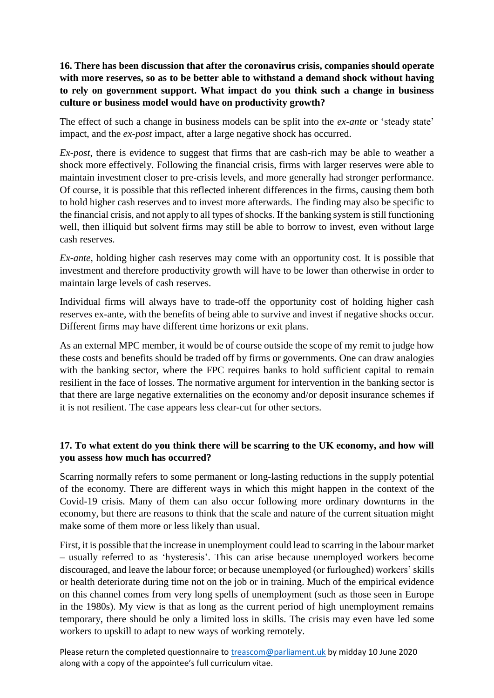**16. There has been discussion that after the coronavirus crisis, companies should operate with more reserves, so as to be better able to withstand a demand shock without having to rely on government support. What impact do you think such a change in business culture or business model would have on productivity growth?**

The effect of such a change in business models can be split into the *ex-ante* or 'steady state' impact, and the *ex-post* impact, after a large negative shock has occurred.

*Ex-post*, there is evidence to suggest that firms that are cash-rich may be able to weather a shock more effectively. Following the financial crisis, firms with larger reserves were able to maintain investment closer to pre-crisis levels, and more generally had stronger performance. Of course, it is possible that this reflected inherent differences in the firms, causing them both to hold higher cash reserves and to invest more afterwards. The finding may also be specific to the financial crisis, and not apply to all types of shocks. If the banking system is still functioning well, then illiquid but solvent firms may still be able to borrow to invest, even without large cash reserves.

*Ex-ante*, holding higher cash reserves may come with an opportunity cost. It is possible that investment and therefore productivity growth will have to be lower than otherwise in order to maintain large levels of cash reserves.

Individual firms will always have to trade-off the opportunity cost of holding higher cash reserves ex-ante, with the benefits of being able to survive and invest if negative shocks occur. Different firms may have different time horizons or exit plans.

As an external MPC member, it would be of course outside the scope of my remit to judge how these costs and benefits should be traded off by firms or governments. One can draw analogies with the banking sector, where the FPC requires banks to hold sufficient capital to remain resilient in the face of losses. The normative argument for intervention in the banking sector is that there are large negative externalities on the economy and/or deposit insurance schemes if it is not resilient. The case appears less clear-cut for other sectors.

# **17. To what extent do you think there will be scarring to the UK economy, and how will you assess how much has occurred?**

Scarring normally refers to some permanent or long-lasting reductions in the supply potential of the economy. There are different ways in which this might happen in the context of the Covid-19 crisis. Many of them can also occur following more ordinary downturns in the economy, but there are reasons to think that the scale and nature of the current situation might make some of them more or less likely than usual.

First, it is possible that the increase in unemployment could lead to scarring in the labour market – usually referred to as 'hysteresis'. This can arise because unemployed workers become discouraged, and leave the labour force; or because unemployed (or furloughed) workers' skills or health deteriorate during time not on the job or in training. Much of the empirical evidence on this channel comes from very long spells of unemployment (such as those seen in Europe in the 1980s). My view is that as long as the current period of high unemployment remains temporary, there should be only a limited loss in skills. The crisis may even have led some workers to upskill to adapt to new ways of working remotely.

Please return the completed questionnaire to [treascom@parliament.uk](mailto:treascom@parliament.uk) by midday 10 June 2020 along with a copy of the appointee's full curriculum vitae.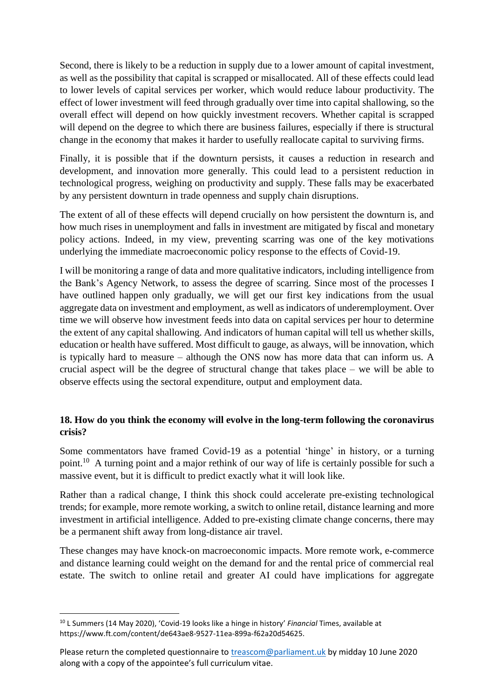Second, there is likely to be a reduction in supply due to a lower amount of capital investment, as well as the possibility that capital is scrapped or misallocated. All of these effects could lead to lower levels of capital services per worker, which would reduce labour productivity. The effect of lower investment will feed through gradually over time into capital shallowing, so the overall effect will depend on how quickly investment recovers. Whether capital is scrapped will depend on the degree to which there are business failures, especially if there is structural change in the economy that makes it harder to usefully reallocate capital to surviving firms.

Finally, it is possible that if the downturn persists, it causes a reduction in research and development, and innovation more generally. This could lead to a persistent reduction in technological progress, weighing on productivity and supply. These falls may be exacerbated by any persistent downturn in trade openness and supply chain disruptions.

The extent of all of these effects will depend crucially on how persistent the downturn is, and how much rises in unemployment and falls in investment are mitigated by fiscal and monetary policy actions. Indeed, in my view, preventing scarring was one of the key motivations underlying the immediate macroeconomic policy response to the effects of Covid-19.

I will be monitoring a range of data and more qualitative indicators, including intelligence from the Bank's Agency Network, to assess the degree of scarring. Since most of the processes I have outlined happen only gradually, we will get our first key indications from the usual aggregate data on investment and employment, as well as indicators of underemployment. Over time we will observe how investment feeds into data on capital services per hour to determine the extent of any capital shallowing. And indicators of human capital will tell us whether skills, education or health have suffered. Most difficult to gauge, as always, will be innovation, which is typically hard to measure – although the ONS now has more data that can inform us. A crucial aspect will be the degree of structural change that takes place – we will be able to observe effects using the sectoral expenditure, output and employment data.

## **18. How do you think the economy will evolve in the long-term following the coronavirus crisis?**

Some commentators have framed Covid-19 as a potential 'hinge' in history, or a turning point.<sup>10</sup> A turning point and a major rethink of our way of life is certainly possible for such a massive event, but it is difficult to predict exactly what it will look like.

Rather than a radical change, I think this shock could accelerate pre-existing technological trends; for example, more remote working, a switch to online retail, distance learning and more investment in artificial intelligence. Added to pre-existing climate change concerns, there may be a permanent shift away from long-distance air travel.

These changes may have knock-on macroeconomic impacts. More remote work, e-commerce and distance learning could weight on the demand for and the rental price of commercial real estate. The switch to online retail and greater AI could have implications for aggregate

<sup>10</sup> L Summers (14 May 2020), 'Covid-19 looks like a hinge in history' *Financial* Times, available at https://www.ft.com/content/de643ae8-9527-11ea-899a-f62a20d54625.

Please return the completed questionnaire to [treascom@parliament.uk](mailto:treascom@parliament.uk) by midday 10 June 2020 along with a copy of the appointee's full curriculum vitae.